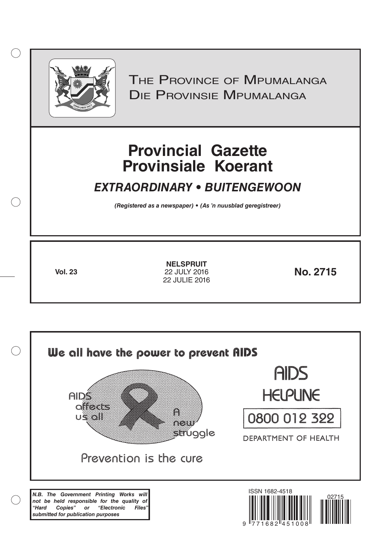

 $( )$ 

THE PROVINCE OF MPUMALANGA Die Provinsie Mpumalanga

# **Provincial Gazette Provinsiale Koerant**

## *EXTRAORDINARY • BUITENGEWOON*

*(Registered as a newspaper) • (As 'n nuusblad geregistreer)*

**Vol. 23 No. 2715** 22 JULY 2016 **NELSPRUIT** 22 JULIE 2016

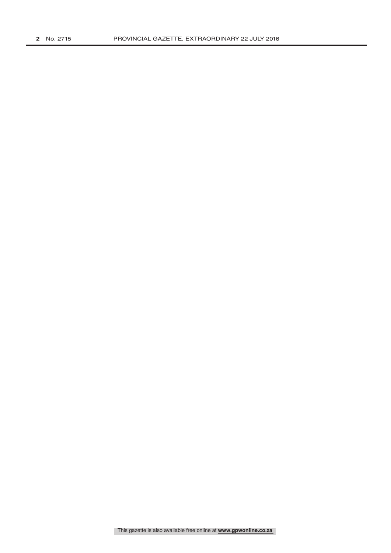This gazette is also available free online at **www.gpwonline.co.za**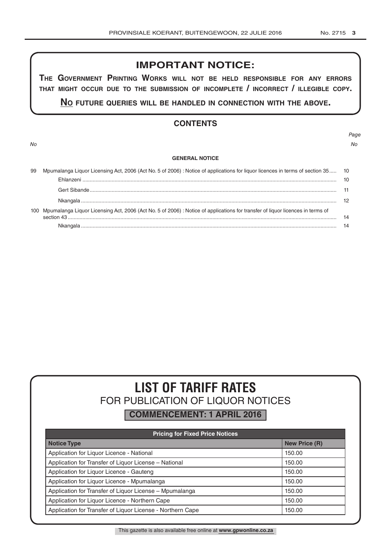## **IMPORTANT NOTICE:**

**The GovernmenT PrinTinG Works Will noT be held resPonsible for any errors ThaT miGhT occur due To The submission of incomPleTe / incorrecT / illeGible coPy.**

**no fuTure queries Will be handled in connecTion WiTh The above.**

## **CONTENTS**

*No No*

## *Page*

#### **GENERAL NOTICE**

| 99  | Mpumalanga Liquor Licensing Act, 2006 (Act No. 5 of 2006) : Notice of applications for liquor licences in terms of section 35 10 |    |
|-----|----------------------------------------------------------------------------------------------------------------------------------|----|
|     |                                                                                                                                  | 10 |
|     |                                                                                                                                  |    |
|     |                                                                                                                                  |    |
| 100 | Mpumalanga Liquor Licensing Act, 2006 (Act No. 5 of 2006) : Notice of applications for transfer of liquor licences in terms of   | 14 |
|     |                                                                                                                                  |    |

## **LIST OF TARIFF RATES** FOR PUBLICATION OF LIQUOR NOTICES

**COMMENCEMENT: 1 APRIL 2016**

| <b>Pricing for Fixed Price Notices</b>                     |                      |  |  |  |  |
|------------------------------------------------------------|----------------------|--|--|--|--|
| <b>Notice Type</b>                                         | <b>New Price (R)</b> |  |  |  |  |
| Application for Liquor Licence - National                  | 150.00               |  |  |  |  |
| Application for Transfer of Liquor License - National      | 150.00               |  |  |  |  |
| Application for Liquor Licence - Gauteng                   | 150.00               |  |  |  |  |
| Application for Liquor Licence - Mpumalanga                | 150.00               |  |  |  |  |
| Application for Transfer of Liquor License - Mpumalanga    | 150.00               |  |  |  |  |
| Application for Liquor Licence - Northern Cape             | 150.00               |  |  |  |  |
| Application for Transfer of Liquor License - Northern Cape | 150.00               |  |  |  |  |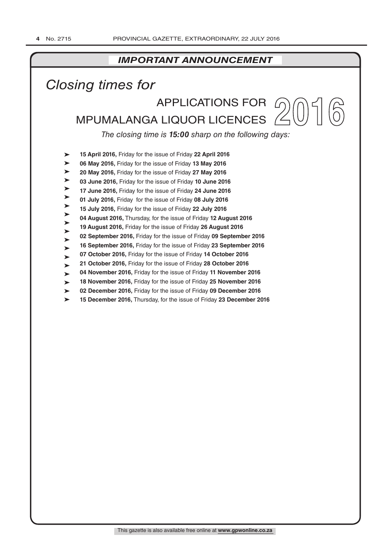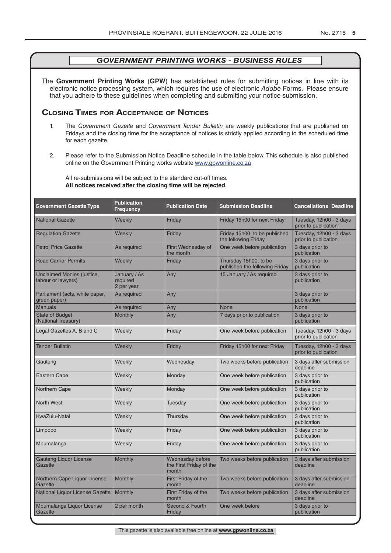The **Government Printing Works** (**GPW**) has established rules for submitting notices in line with its electronic notice processing system, which requires the use of electronic *Adobe* Forms. Please ensure that you adhere to these guidelines when completing and submitting your notice submission.

## **Closing Times for ACCepTAnCe of noTiCes**

- 1. The *Government Gazette* and *Government Tender Bulletin* are weekly publications that are published on Fridays and the closing time for the acceptance of notices is strictly applied according to the scheduled time for each gazette.
- 2. Please refer to the Submission Notice Deadline schedule in the table below. This schedule is also published online on the Government Printing works website www.gpwonline.co.za

All re-submissions will be subject to the standard cut-off times. **All notices received after the closing time will be rejected**.

| <b>Government Gazette Type</b>                   | <b>Publication</b><br><b>Frequency</b> | <b>Publication Date</b>                              | <b>Submission Deadline</b>                              | <b>Cancellations Deadline</b>                   |
|--------------------------------------------------|----------------------------------------|------------------------------------------------------|---------------------------------------------------------|-------------------------------------------------|
| <b>National Gazette</b>                          | Weekly                                 | Friday                                               | Friday 15h00 for next Friday                            | Tuesday, 12h00 - 3 days<br>prior to publication |
| <b>Regulation Gazette</b>                        | Weekly                                 | Friday                                               | Friday 15h00, to be published<br>the following Friday   | Tuesday, 12h00 - 3 days<br>prior to publication |
| <b>Petrol Price Gazette</b>                      | As required                            | First Wednesday of<br>the month                      | One week before publication                             | 3 days prior to<br>publication                  |
| <b>Road Carrier Permits</b>                      | Weekly                                 | Friday                                               | Thursday 15h00, to be<br>published the following Friday | 3 days prior to<br>publication                  |
| Unclaimed Monies (justice,<br>labour or lawyers) | January / As<br>required<br>2 per year | Any                                                  | 15 January / As required                                | 3 days prior to<br>publication                  |
| Parliament (acts, white paper,<br>green paper)   | As required                            | Any                                                  |                                                         | 3 days prior to<br>publication                  |
| <b>Manuals</b>                                   | As required                            | Any                                                  | <b>None</b>                                             | <b>None</b>                                     |
| <b>State of Budget</b><br>(National Treasury)    | <b>Monthly</b>                         | Any                                                  | 7 days prior to publication                             | 3 days prior to<br>publication                  |
| Legal Gazettes A, B and C                        | Weekly                                 | Friday                                               | One week before publication                             | Tuesday, 12h00 - 3 days<br>prior to publication |
| <b>Tender Bulletin</b>                           | Weekly                                 | Friday                                               | Friday 15h00 for next Friday                            | Tuesday, 12h00 - 3 days<br>prior to publication |
| Gauteng                                          | Weekly                                 | Wednesday                                            | Two weeks before publication                            | 3 days after submission<br>deadline             |
| <b>Eastern Cape</b>                              | Weekly                                 | Monday                                               | One week before publication                             | 3 days prior to<br>publication                  |
| Northern Cape                                    | Weekly                                 | Monday                                               | One week before publication                             | 3 days prior to<br>publication                  |
| <b>North West</b>                                | Weekly                                 | Tuesday                                              | One week before publication                             | 3 days prior to<br>publication                  |
| KwaZulu-Natal                                    | Weekly                                 | Thursday                                             | One week before publication                             | 3 days prior to<br>publication                  |
| Limpopo                                          | Weekly                                 | Friday                                               | One week before publication                             | 3 days prior to<br>publication                  |
| Mpumalanga                                       | Weekly                                 | Friday                                               | One week before publication                             | 3 days prior to<br>publication                  |
| <b>Gauteng Liquor License</b><br>Gazette         | Monthly                                | Wednesday before<br>the First Friday of the<br>month | Two weeks before publication                            | 3 days after submission<br>deadline             |
| Northern Cape Liquor License<br>Gazette          | Monthly                                | First Friday of the<br>month                         | Two weeks before publication                            | 3 days after submission<br>deadline             |
| National Liquor License Gazette                  | <b>Monthly</b>                         | First Friday of the<br>month                         | Two weeks before publication                            | 3 days after submission<br>deadline             |
| Mpumalanga Liquor License<br>Gazette             | 2 per month                            | Second & Fourth<br>Friday                            | One week before                                         | 3 days prior to<br>publication                  |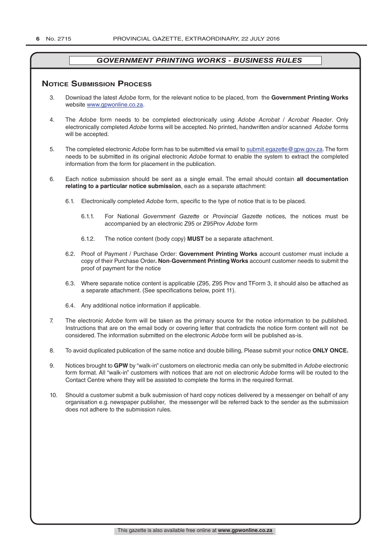## **NOTICE SUBMISSION PROCESS**

- 3. Download the latest *Adobe* form, for the relevant notice to be placed, from the **Government Printing Works** website www.gpwonline.co.za.
- 4. The *Adobe* form needs to be completed electronically using *Adobe Acrobat* / *Acrobat Reader*. Only electronically completed *Adobe* forms will be accepted. No printed, handwritten and/or scanned *Adobe* forms will be accepted.
- 5. The completed electronic *Adobe* form has to be submitted via email to submit.egazette@gpw.gov.za. The form needs to be submitted in its original electronic *Adobe* format to enable the system to extract the completed information from the form for placement in the publication.
- 6. Each notice submission should be sent as a single email. The email should contain **all documentation relating to a particular notice submission**, each as a separate attachment:
	- 6.1. Electronically completed *Adobe* form, specific to the type of notice that is to be placed.
		- 6.1.1. For National *Government Gazette* or *Provincial Gazette* notices, the notices must be accompanied by an electronic Z95 or Z95Prov *Adobe* form
		- 6.1.2. The notice content (body copy) **MUST** be a separate attachment.
	- 6.2. Proof of Payment / Purchase Order: **Government Printing Works** account customer must include a copy of their Purchase Order*.* **Non**-**Government Printing Works** account customer needs to submit the proof of payment for the notice
	- 6.3. Where separate notice content is applicable (Z95, Z95 Prov and TForm 3, it should also be attached as a separate attachment. (See specifications below, point 11).
	- 6.4. Any additional notice information if applicable.
- 7. The electronic *Adobe* form will be taken as the primary source for the notice information to be published. Instructions that are on the email body or covering letter that contradicts the notice form content will not be considered. The information submitted on the electronic *Adobe* form will be published as-is.
- 8. To avoid duplicated publication of the same notice and double billing, Please submit your notice **ONLY ONCE.**
- 9. Notices brought to **GPW** by "walk-in" customers on electronic media can only be submitted in *Adobe* electronic form format. All "walk-in" customers with notices that are not on electronic *Adobe* forms will be routed to the Contact Centre where they will be assisted to complete the forms in the required format.
- 10. Should a customer submit a bulk submission of hard copy notices delivered by a messenger on behalf of any organisation e.g. newspaper publisher, the messenger will be referred back to the sender as the submission does not adhere to the submission rules.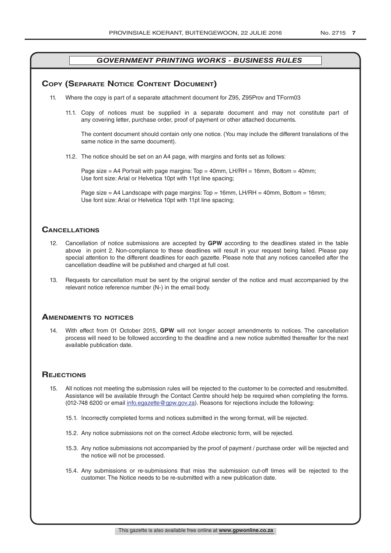## **COPY (SEPARATE NOTICE CONTENT DOCUMENT)**

- 11. Where the copy is part of a separate attachment document for Z95, Z95Prov and TForm03
	- 11.1. Copy of notices must be supplied in a separate document and may not constitute part of any covering letter, purchase order, proof of payment or other attached documents.

The content document should contain only one notice. (You may include the different translations of the same notice in the same document).

11.2. The notice should be set on an A4 page, with margins and fonts set as follows:

Page size  $=$  A4 Portrait with page margins: Top  $=$  40mm, LH/RH  $=$  16mm, Bottom  $=$  40mm; Use font size: Arial or Helvetica 10pt with 11pt line spacing;

Page size = A4 Landscape with page margins: Top = 16mm, LH/RH = 40mm, Bottom = 16mm; Use font size: Arial or Helvetica 10pt with 11pt line spacing;

## **CAnCellATions**

- 12. Cancellation of notice submissions are accepted by **GPW** according to the deadlines stated in the table above in point 2. Non-compliance to these deadlines will result in your request being failed. Please pay special attention to the different deadlines for each gazette. Please note that any notices cancelled after the cancellation deadline will be published and charged at full cost.
- 13. Requests for cancellation must be sent by the original sender of the notice and must accompanied by the relevant notice reference number (N-) in the email body.

#### **AmenDmenTs To noTiCes**

14. With effect from 01 October 2015, **GPW** will not longer accept amendments to notices. The cancellation process will need to be followed according to the deadline and a new notice submitted thereafter for the next available publication date.

## **REJECTIONS**

- 15. All notices not meeting the submission rules will be rejected to the customer to be corrected and resubmitted. Assistance will be available through the Contact Centre should help be required when completing the forms. (012-748 6200 or email info.egazette@gpw.gov.za). Reasons for rejections include the following:
	- 15.1. Incorrectly completed forms and notices submitted in the wrong format, will be rejected.
	- 15.2. Any notice submissions not on the correct *Adobe* electronic form, will be rejected.
	- 15.3. Any notice submissions not accompanied by the proof of payment / purchase order will be rejected and the notice will not be processed.
	- 15.4. Any submissions or re-submissions that miss the submission cut-off times will be rejected to the customer. The Notice needs to be re-submitted with a new publication date.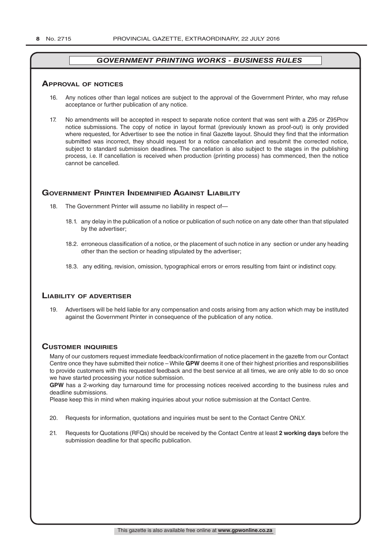#### **ApprovAl of noTiCes**

- 16. Any notices other than legal notices are subject to the approval of the Government Printer, who may refuse acceptance or further publication of any notice.
- 17. No amendments will be accepted in respect to separate notice content that was sent with a Z95 or Z95Prov notice submissions. The copy of notice in layout format (previously known as proof-out) is only provided where requested, for Advertiser to see the notice in final Gazette layout. Should they find that the information submitted was incorrect, they should request for a notice cancellation and resubmit the corrected notice, subject to standard submission deadlines. The cancellation is also subject to the stages in the publishing process, i.e. If cancellation is received when production (printing process) has commenced, then the notice cannot be cancelled.

## **GOVERNMENT PRINTER INDEMNIFIED AGAINST LIABILITY**

- 18. The Government Printer will assume no liability in respect of-
	- 18.1. any delay in the publication of a notice or publication of such notice on any date other than that stipulated by the advertiser;
	- 18.2. erroneous classification of a notice, or the placement of such notice in any section or under any heading other than the section or heading stipulated by the advertiser;
	- 18.3. any editing, revision, omission, typographical errors or errors resulting from faint or indistinct copy.

## **liAbiliTy of ADverTiser**

19. Advertisers will be held liable for any compensation and costs arising from any action which may be instituted against the Government Printer in consequence of the publication of any notice.

## **CusTomer inquiries**

Many of our customers request immediate feedback/confirmation of notice placement in the gazette from our Contact Centre once they have submitted their notice – While **GPW** deems it one of their highest priorities and responsibilities to provide customers with this requested feedback and the best service at all times, we are only able to do so once we have started processing your notice submission.

**GPW** has a 2-working day turnaround time for processing notices received according to the business rules and deadline submissions.

Please keep this in mind when making inquiries about your notice submission at the Contact Centre.

- 20. Requests for information, quotations and inquiries must be sent to the Contact Centre ONLY.
- 21. Requests for Quotations (RFQs) should be received by the Contact Centre at least **2 working days** before the submission deadline for that specific publication.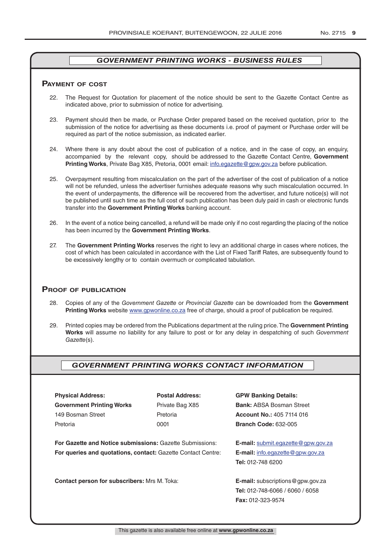### **pAymenT of CosT**

- 22. The Request for Quotation for placement of the notice should be sent to the Gazette Contact Centre as indicated above, prior to submission of notice for advertising.
- 23. Payment should then be made, or Purchase Order prepared based on the received quotation, prior to the submission of the notice for advertising as these documents i.e. proof of payment or Purchase order will be required as part of the notice submission, as indicated earlier.
- 24. Where there is any doubt about the cost of publication of a notice, and in the case of copy, an enquiry, accompanied by the relevant copy, should be addressed to the Gazette Contact Centre, **Government Printing Works**, Private Bag X85, Pretoria, 0001 email: info.egazette@gpw.gov.za before publication.
- 25. Overpayment resulting from miscalculation on the part of the advertiser of the cost of publication of a notice will not be refunded, unless the advertiser furnishes adequate reasons why such miscalculation occurred. In the event of underpayments, the difference will be recovered from the advertiser, and future notice(s) will not be published until such time as the full cost of such publication has been duly paid in cash or electronic funds transfer into the **Government Printing Works** banking account.
- 26. In the event of a notice being cancelled, a refund will be made only if no cost regarding the placing of the notice has been incurred by the **Government Printing Works**.
- 27. The **Government Printing Works** reserves the right to levy an additional charge in cases where notices, the cost of which has been calculated in accordance with the List of Fixed Tariff Rates, are subsequently found to be excessively lengthy or to contain overmuch or complicated tabulation.

#### **proof of publiCATion**

- 28. Copies of any of the *Government Gazette* or *Provincial Gazette* can be downloaded from the **Government Printing Works** website www.gpwonline.co.za free of charge, should a proof of publication be required.
- 29. Printed copies may be ordered from the Publications department at the ruling price. The **Government Printing Works** will assume no liability for any failure to post or for any delay in despatching of such *Government Gazette*(s).

## *GOVERNMENT PRINTING WORKS CONTACT INFORMATION*

**Physical Address: Postal Address: GPW Banking Details: Government Printing Works** Private Bag X85 **Bank:** ABSA Bosman Street 149 Bosman Street Pretoria **Account No.:** 405 7114 016 Pretoria 0001 **Branch Code:** 632-005

**For Gazette and Notice submissions:** Gazette Submissions: **E-mail:** submit.egazette@gpw.gov.za **For queries and quotations, contact:** Gazette Contact Centre: **E-mail:** info.egazette@gpw.gov.za

**Contact person for subscribers:** Mrs M. Toka: **E-mail:** subscriptions@gpw.gov.za

**Tel:** 012-748 6200

**Tel:** 012-748-6066 / 6060 / 6058 **Fax:** 012-323-9574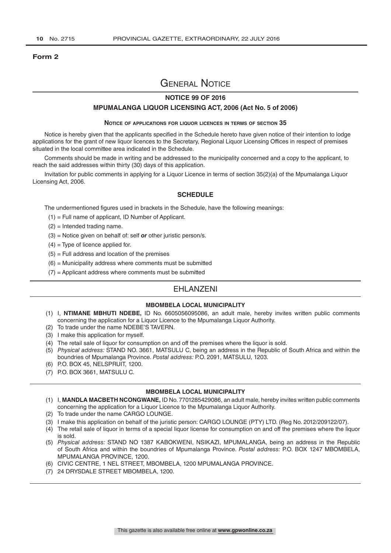#### **Form 2**

## General Notice

## **NOTICE 99 OF 2016**

#### **MPUMALANGA LIQUOR LICENSING ACT, 2006 (Act No. 5 of 2006)**

#### **Notice of applications for liquor licences in terms of section 35**

Notice is hereby given that the applicants specified in the Schedule hereto have given notice of their intention to lodge applications for the grant of new liquor licences to the Secretary, Regional Liquor Licensing Offices in respect of premises situated in the local committee area indicated in the Schedule.

Comments should be made in writing and be addressed to the municipality concerned and a copy to the applicant, to reach the said addresses within thirty (30) days of this application.

Invitation for public comments in applying for a Liquor Licence in terms of section 35(2)(a) of the Mpumalanga Liquor Licensing Act, 2006.

#### **SCHEDULE**

The undermentioned figures used in brackets in the Schedule, have the following meanings:

- (1) = Full name of applicant, ID Number of Applicant.
- (2) = Intended trading name.
- (3) = Notice given on behalf of: self *or* other juristic person/s.
- $(4)$  = Type of licence applied for.
- $(5)$  = Full address and location of the premises
- $(6)$  = Municipality address where comments must be submitted
- $(7)$  = Applicant address where comments must be submitted

## **FHI ANZENI**

#### **MBOMBELA LOCAL MUNICIPALITY**

- (1) I, **NTIMANE MBHUTI NDEBE,** ID No. 6605056095086, an adult male, hereby invites written public comments concerning the application for a Liquor Licence to the Mpumalanga Liquor Authority.
- (2) To trade under the name NDEBE'S TAVERN.
- (3) I make this application for myself.
- (4) The retail sale of liquor for consumption on and off the premises where the liquor is sold.
- (5) *Physical address:* STAND NO. 3661, MATSULU C, being an address in the Republic of South Africa and within the boundries of Mpumalanga Province. *Postal address:* P.O. 2091, MATSULU, 1203.
- (6) P.O. BOX 45, NELSPRUIT, 1200.
- (7) P.O. BOX 3661, MATSULU C.

#### **MBOMBELA LOCAL MUNICIPALITY**

- (1) I, **MANDLA MACBETH NCONGWANE,** ID No. 7701285429086, an adult male, hereby invites written public comments concerning the application for a Liquor Licence to the Mpumalanga Liquor Authority.
- (2) To trade under the name CARGO LOUNGE.
- (3) I make this application on behalf of the juristic person: CARGO LOUNGE (PTY) LTD. (Reg No. 2012/209122/07).
- (4) The retail sale of liquor in terms of a special liquor license for consumption on and off the premises where the liquor is sold.
- (5) *Physical address:* STAND NO 1387 KABOKWENI, NSIKAZI, MPUMALANGA, being an address in the Republic of South Africa and within the boundries of Mpumalanga Province. *Postal address:* P.O. BOX 1247 MBOMBELA, MPUMALANGA PROVINCE, 1200.
- (6) CIVIC CENTRE, 1 NEL STREET, MBOMBELA, 1200 MPUMALANGA PROVINCE.
- (7) 24 DRYSDALE STREET MBOMBELA, 1200.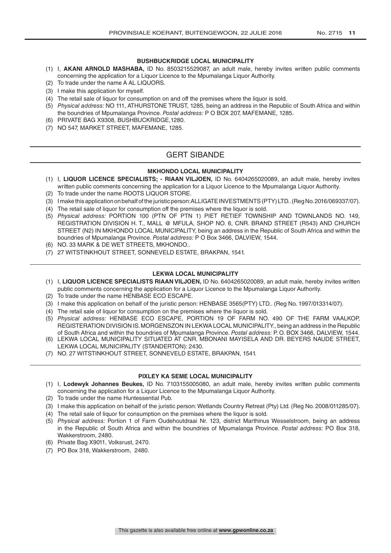#### **BUSHBUCKRIDGE LOCAL MUNICIPALITY**

- (1) I, **AKANI ARNOLD MASHABA,** ID No. 8503215529087, an adult male, hereby invites written public comments concerning the application for a Liquor Licence to the Mpumalanga Liquor Authority.
- (2) To trade under the name A AL LIQUORS.
- (3) I make this application for myself.
- (4) The retail sale of liquor for consumption on and off the premises where the liquor is sold.
- (5) *Physical address:* NO 111, ATHURSTONE TRUST, 1285, being an address in the Republic of South Africa and within the boundries of Mpumalanga Province. *Postal address:* P O BOX 207, MAFEMANE, 1285.
- (6) PRIVATE BAG X9308, BUSHBUCKRIDGE,1280.
- (7) NO 547, MARKET STREET, MAFEMANE, 1285.

## GERT SIBANDE

#### **MKHONDO LOCAL MUNICIPALITY**

- (1) I, **LIQUOR LICENCE SPECIALISTS; RIAAN VILJOEN,** ID No. 6404265020089, an adult male, hereby invites written public comments concerning the application for a Liquor Licence to the Mpumalanga Liquor Authority.
- (2) To trade under the name ROOTS LIQUOR STORE.
- (3) I make this application on behalf of the juristic person: ALLIGATE INVESTMENTS (PTY) LTD.. (Reg No. 2016/069337/07).
- (4) The retail sale of liquor for consumption off the premises where the liquor is sold.
- (5) *Physical address:* PORTION 100 (PTN OF PTN 1) PIET RETIEF TOWNSHIP AND TOWNLANDS NO. 149, REGISTRATION DIVISION H. T., MALL @ MFULA, SHOP NO. 6, CNR. BRAND STREET (R543) AND CHURCH STREET (N2) IN MKHONDO LOCAL MUNICIPALITY, being an address in the Republic of South Africa and within the boundries of Mpumalanga Province. *Postal address:* P O Box 3466, DALVIEW, 1544.
- (6) NO. 33 MARK & DE WET STREETS, MKHONDO..
- (7) 27 WITSTINKHOUT STREET, SONNEVELD ESTATE, BRAKPAN, 1541.

#### **LEKWA LOCAL MUNICIPALITY**

- (1) I, **LIQUOR LICENCE SPECIALISTS RIAAN VILJOEN,** ID No. 6404265020089, an adult male, hereby invites written public comments concerning the application for a Liquor Licence to the Mpumalanga Liquor Authority.
- (2) To trade under the name HENBASE ECO ESCAPE.
- (3) I make this application on behalf of the juristic person: HENBASE 3565(PTY) LTD.. (Reg No. 1997/013314/07).
- (4) The retail sale of liquor for consumption on the premises where the liquor is sold.
- (5) *Physical address:* HENBASE ECO ESCAPE, PORTION 19 OF FARM NO. 490 OF THE FARM VAALKOP, REGISTERATION DIVISION IS. MORGENSZON IN LEKWA LOCAL MUNICIPALITY., being an address in the Republic of South Africa and within the boundries of Mpumalanga Province. *Postal address:* P. O. BOX 3466, DALVIEW, 1544.
- (6) LEKWA LOCAL MUNICIPALITY SITUATED AT CNR. MBONANI MAYISELA AND DR. BEYERS NAUDE STREET, LEKWA LOCAL MUNICIPALITY (STANDERTON): 2430.
- (7) NO. 27 WITSTINKHOUT STREET, SONNEVELD ESTATE, BRAKPAN, 1541.

#### **PIXLEY KA SEME LOCAL MUNICIPALITY**

- (1) I, **Lodewyk Johannes Beukes,** ID No. 7103155005080, an adult male, hereby invites written public comments concerning the application for a Liquor Licence to the Mpumalanga Liquor Authority.
- (2) To trade under the name Huntessential Pub.
- (3) I make this application on behalf of the juristic person: Wetlands Country Retreat (Pty) Ltd. (Reg No. 2008/011285/07).
- (4) The retail sale of liquor for consumption on the premises where the liquor is sold.
- (5) *Physical address:* Portion 1 of Farm Oudehoutdraai Nr. 123, district Marthinus Wesselstroom, being an address in the Republic of South Africa and within the boundries of Mpumalanga Province. *Postal address:* PO Box 318, Wakkerstroom, 2480.
- (6) Private Bag X9011, Volksrust, 2470.
- (7) PO Box 318, Wakkerstroom, 2480.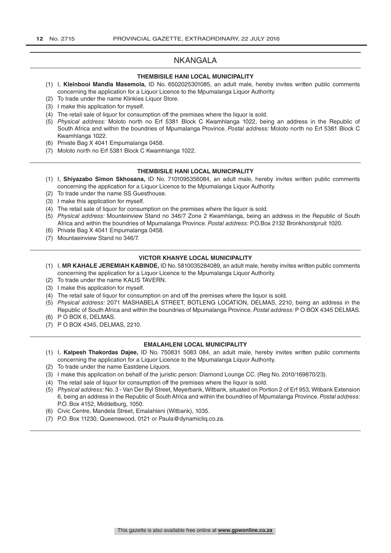## NKANGALA

#### **THEMBISILE HANI LOCAL MUNICIPALITY**

- (1) I, **Kleinbooi Mandla Masemola,** ID No. 6502025301085, an adult male, hereby invites written public comments concerning the application for a Liquor Licence to the Mpumalanga Liquor Authority.
- (2) To trade under the name Klinkies Liquor Store.
- (3) I make this application for myself.
- (4) The retail sale of liquor for consumption off the premises where the liquor is sold.
- (5) *Physical address:* Moloto north no Erf 5381 Block C Kwamhlanga 1022, being an address in the Republic of South Africa and within the boundries of Mpumalanga Province. *Postal address:* Moloto north no Erf 5381 Block C Kwamhlanga 1022.
- (6) Private Bag X 4041 Empumalanga 0458.
- (7) Moloto north no Erf 5381 Block C Kwamhlanga 1022.

#### **THEMBISILE HANI LOCAL MUNICIPALITY**

- (1) I, **Shiyazabo Simon Skhosana,** ID No. 7101095356084, an adult male, hereby invites written public comments concerning the application for a Liquor Licence to the Mpumalanga Liquor Authority.
- (2) To trade under the name SS Guesthouse.
- (3) I make this application for myself.
- (4) The retail sale of liquor for consumption on the premises where the liquor is sold.
- (5) *Physical address:* Mounteinview Stand no 346/7 Zone 2 Kwamhlanga, being an address in the Republic of South Africa and within the boundries of Mpumalanga Province. *Postal address:* P.O.Box 2132 Bronkhorstpruit 1020.
- (6) Private Bag X 4041 Empumalanga 0458.
- (7) Mountaeinview Stand no 346/7.

#### **VICTOR KHANYE LOCAL MUNICIPALITY**

- (1) I, **MR KAHALE JEREMIAH KABINDE,** ID No. 5810035284089, an adult male, hereby invites written public comments concerning the application for a Liquor Licence to the Mpumalanga Liquor Authority.
- (2) To trade under the name KALIS TAVERN.
- (3) I make this application for myself.
- (4) The retail sale of liquor for consumption on and off the premises where the liquor is sold.
- (5) *Physical address:* 2071 MASHABELA STREET, BOTLENG LOCATION, DELMAS, 2210, being an address in the Republic of South Africa and within the boundries of Mpumalanga Province. *Postal address:* P O BOX 4345 DELMAS.
- (6) P O BOX 6, DELMAS.
- (7) P O BOX 4345, DELMAS, 2210.

#### **EMALAHLENI LOCAL MUNICIPALITY**

- (1) I, **Kalpesh Thakordas Dajee,** ID No. 750831 5083 084, an adult male, hereby invites written public comments concerning the application for a Liquor Licence to the Mpumalanga Liquor Authority.
- (2) To trade under the name Eastdene Liquors.
- (3) I make this application on behalf of the juristic person: Diamond Lounge CC. (Reg No. 2010/169870/23).
- (4) The retail sale of liquor for consumption off the premises where the liquor is sold.
- (5) *Physical address:* No. 3 Van Der Byl Street, Meyerbank, Witbank, situated on Portion 2 of Erf 953, Witbank Extension 6, being an address in the Republic of South Africa and within the boundries of Mpumalanga Province. *Postal address:*  P.O. Box 4152, Middelburg, 1050.
- (6) Civic Centre, Mandela Street, Emalahleni (Witbank), 1035.
- (7) P.O. Box 11230, Queenswood, 0121 or Paula@dynamicliq.co.za.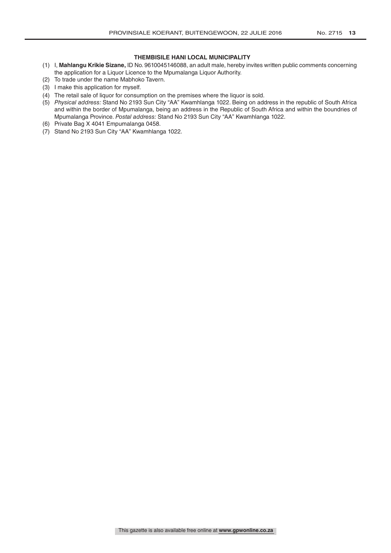### **THEMBISILE HANI LOCAL MUNICIPALITY**

- (1) I, **Mahlangu Krikie Sizane,** ID No. 9610045146088, an adult male, hereby invites written public comments concerning the application for a Liquor Licence to the Mpumalanga Liquor Authority.
- (2) To trade under the name Mabhoko Tavern.
- (3) I make this application for myself.
- (4) The retail sale of liquor for consumption on the premises where the liquor is sold.
- (5) *Physical address:* Stand No 2193 Sun City "AA" Kwamhlanga 1022. Being on address in the republic of South Africa and within the border of Mpumalanga, being an address in the Republic of South Africa and within the boundries of Mpumalanga Province. *Postal address:* Stand No 2193 Sun City "AA" Kwamhlanga 1022.
- (6) Private Bag X 4041 Empumalanga 0458.
- (7) Stand No 2193 Sun City "AA" Kwamhlanga 1022.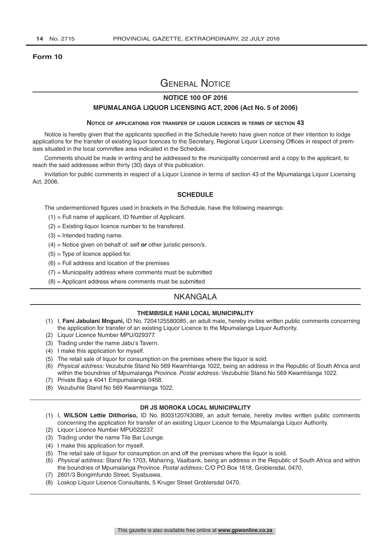#### **Form 10**

## General Notice

## **NOTICE 100 OF 2016**

#### **MPUMALANGA LIQUOR LICENSING ACT, 2006 (Act No. 5 of 2006)**

#### **Notice of applications for transfer of liquor licences in terms of section 43**

Notice is hereby given that the applicants specified in the Schedule hereto have given notice of their intention to lodge applications for the transfer of existing liquor licences to the Secretary, Regional Liquor Licensing Offices in respect of premises situated in the local committee area indicated in the Schedule.

Comments should be made in writing and be addressed to the municipality concerned and a copy to the applicant, to reach the said addresses within thirty (30) days of this publication.

Invitation for public comments in respect of a Liquor Licence in terms of section 43 of the Mpumalanga Liquor Licensing Act, 2006.

#### **SCHEDULE**

The undermentioned figures used in brackets in the Schedule, have the following meanings:

- (1) = Full name of applicant, ID Number of Applicant.
- (2) = Existing liquor licence number to be transfered.
- $(3)$  = Intended trading name.
- (4) = Notice given on behalf of: self *or* other juristic person/s.
- $(5)$  = Type of licence applied for.
- $(6)$  = Full address and location of the premises
- $(7)$  = Municipality address where comments must be submitted
- $(8)$  = Applicant address where comments must be submitted

## NKANGALA

#### **THEMBISILE HANI LOCAL MUNICIPALITY**

- (1) I, **Fani Jabulani Mnguni,** ID No. 7204125580085, an adult male, hereby invites written public comments concerning the application for transfer of an existing Liquor Licence to the Mpumalanga Liquor Authority.
- (2) Liquor Licence Number MPU/029377.
- (3) Trading under the name Jabu's Tavern.
- (4) I make this application for myself.
- (5) The retail sale of liquor for consumption on the premises where the liquor is sold.
- (6) *Physical address:* Vezubuhle Stand No 569 Kwamhlanga 1022, being an address in the Republic of South Africa and within the boundries of Mpumalanga Province. *Postal address:* Vezubuhle Stand No 569 Kwamhlanga 1022.
- (7) Private Bag x 4041 Empumalanga 0458.
- (8) Vezubuhle Stand No 569 Kwamhlanga 1022.

#### **DR JS MOROKA LOCAL MUNICIPALITY**

- (1) I, **WILSON Lettie Ditlhoriso,** ID No. 8003120743089, an adult female, hereby invites written public comments concerning the application for transfer of an existing Liquor Licence to the Mpumalanga Liquor Authority.
- (2) Liquor Licence Number MPU022237.
- (3) Trading under the name Tile Bar Lounge.
- (4) I make this application for myself.
- (5) The retail sale of liquor for consumption on and off the premises where the liquor is sold.
- (6) *Physical address:* Stand No 1703, Maharing, Vaalbank, being an address in the Republic of South Africa and within the boundries of Mpumalanga Province. *Postal address:* C/O PO Box 1618, Groblersdal, 0470.
- (7) 2601/3 Bongimfundo Street, Siyabuswa.
- (8) Loskop Liquor Licence Consultants, 5 Kruger Street Groblersdal 0470.